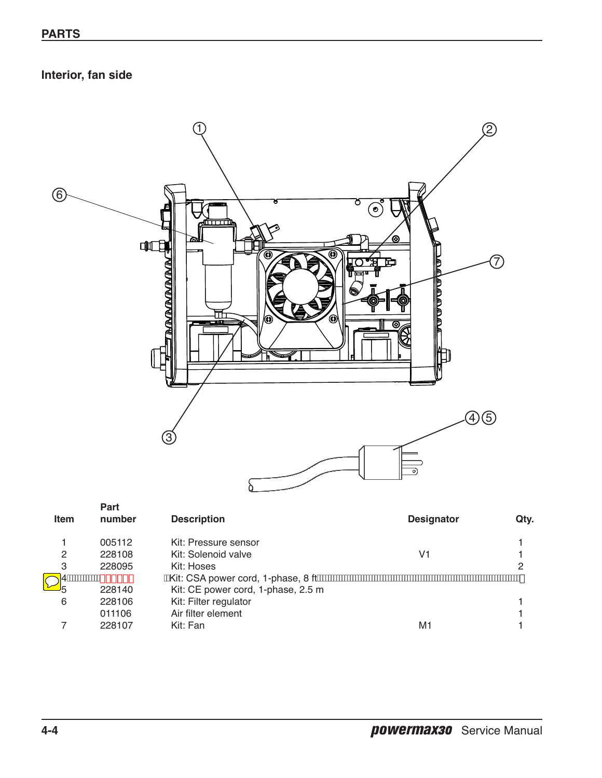## **Interior, fan side**